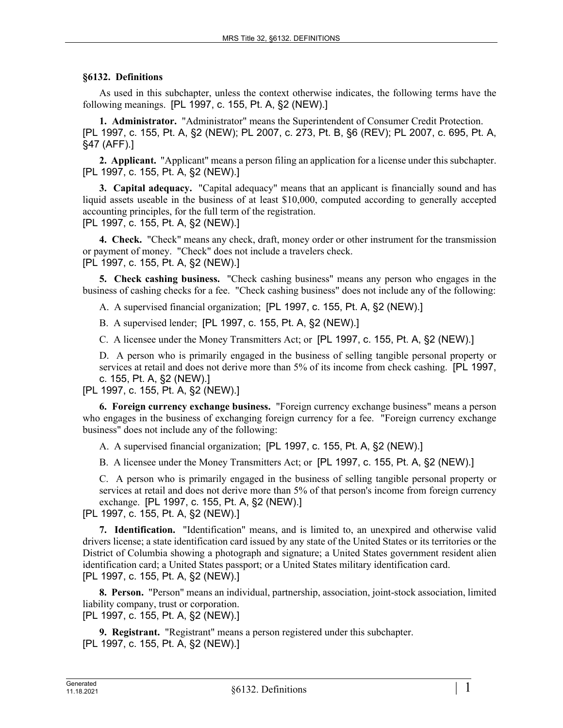## **§6132. Definitions**

As used in this subchapter, unless the context otherwise indicates, the following terms have the following meanings. [PL 1997, c. 155, Pt. A, §2 (NEW).]

**1. Administrator.** "Administrator" means the Superintendent of Consumer Credit Protection. [PL 1997, c. 155, Pt. A, §2 (NEW); PL 2007, c. 273, Pt. B, §6 (REV); PL 2007, c. 695, Pt. A, §47 (AFF).]

**2. Applicant.** "Applicant" means a person filing an application for a license under this subchapter. [PL 1997, c. 155, Pt. A, §2 (NEW).]

**3. Capital adequacy.** "Capital adequacy" means that an applicant is financially sound and has liquid assets useable in the business of at least \$10,000, computed according to generally accepted accounting principles, for the full term of the registration. [PL 1997, c. 155, Pt. A, §2 (NEW).]

**4. Check.** "Check" means any check, draft, money order or other instrument for the transmission or payment of money. "Check" does not include a travelers check. [PL 1997, c. 155, Pt. A, §2 (NEW).]

**5. Check cashing business.** "Check cashing business" means any person who engages in the business of cashing checks for a fee. "Check cashing business" does not include any of the following:

A. A supervised financial organization; [PL 1997, c. 155, Pt. A, §2 (NEW).]

B. A supervised lender; [PL 1997, c. 155, Pt. A, §2 (NEW).]

C. A licensee under the Money Transmitters Act; or [PL 1997, c. 155, Pt. A, §2 (NEW).]

D. A person who is primarily engaged in the business of selling tangible personal property or services at retail and does not derive more than 5% of its income from check cashing. [PL 1997, c. 155, Pt. A, §2 (NEW).]

[PL 1997, c. 155, Pt. A, §2 (NEW).]

**6. Foreign currency exchange business.** "Foreign currency exchange business" means a person who engages in the business of exchanging foreign currency for a fee. "Foreign currency exchange business" does not include any of the following:

A. A supervised financial organization; [PL 1997, c. 155, Pt. A, §2 (NEW).]

B. A licensee under the Money Transmitters Act; or [PL 1997, c. 155, Pt. A, §2 (NEW).]

C. A person who is primarily engaged in the business of selling tangible personal property or services at retail and does not derive more than 5% of that person's income from foreign currency exchange. [PL 1997, c. 155, Pt. A, §2 (NEW).]

[PL 1997, c. 155, Pt. A, §2 (NEW).]

**7. Identification.** "Identification" means, and is limited to, an unexpired and otherwise valid drivers license; a state identification card issued by any state of the United States or its territories or the District of Columbia showing a photograph and signature; a United States government resident alien identification card; a United States passport; or a United States military identification card. [PL 1997, c. 155, Pt. A, §2 (NEW).]

**8. Person.** "Person" means an individual, partnership, association, joint-stock association, limited liability company, trust or corporation. [PL 1997, c. 155, Pt. A, §2 (NEW).]

**9. Registrant.** "Registrant" means a person registered under this subchapter. [PL 1997, c. 155, Pt. A, §2 (NEW).]